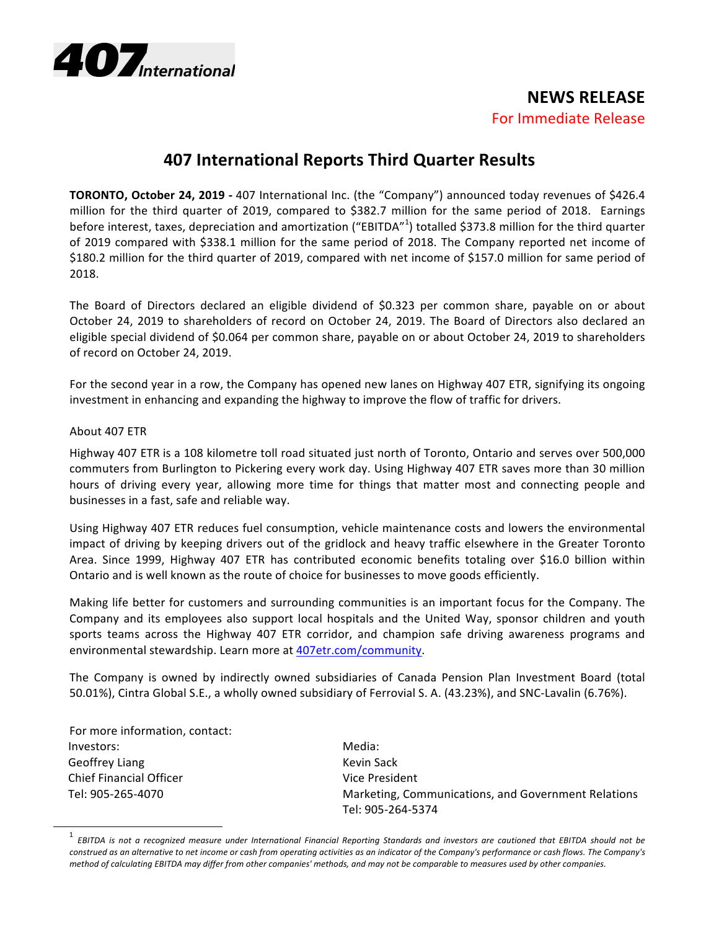

## **NEWS RELEASE** For Immediate Release

## **407 International Reports Third Quarter Results**

**TORONTO, October 24, 2019** - 407 International Inc. (the "Company") announced today revenues of \$426.4 million for the third quarter of 2019, compared to \$382.7 million for the same period of 2018. Earnings before interest, taxes, depreciation and amortization ("EBITDA"<sup>1</sup>) totalled \$373.8 million for the third quarter of 2019 compared with \$338.1 million for the same period of 2018. The Company reported net income of \$180.2 million for the third quarter of 2019, compared with net income of \$157.0 million for same period of 2018.

The Board of Directors declared an eligible dividend of \$0.323 per common share, payable on or about October 24, 2019 to shareholders of record on October 24, 2019. The Board of Directors also declared an eligible special dividend of \$0.064 per common share, payable on or about October 24, 2019 to shareholders of record on October 24, 2019.

For the second year in a row, the Company has opened new lanes on Highway 407 ETR, signifying its ongoing investment in enhancing and expanding the highway to improve the flow of traffic for drivers.

## About 407 ETR

Highway 407 ETR is a 108 kilometre toll road situated just north of Toronto, Ontario and serves over 500,000 commuters from Burlington to Pickering every work day. Using Highway 407 ETR saves more than 30 million hours of driving every year, allowing more time for things that matter most and connecting people and businesses in a fast, safe and reliable way.

Using Highway 407 ETR reduces fuel consumption, vehicle maintenance costs and lowers the environmental impact of driving by keeping drivers out of the gridlock and heavy traffic elsewhere in the Greater Toronto Area. Since 1999, Highway 407 ETR has contributed economic benefits totaling over \$16.0 billion within Ontario and is well known as the route of choice for businesses to move goods efficiently.

Making life better for customers and surrounding communities is an important focus for the Company. The Company and its employees also support local hospitals and the United Way, sponsor children and youth sports teams across the Highway 407 ETR corridor, and champion safe driving awareness programs and environmental stewardship. Learn more at 407etr.com/community.

The Company is owned by indirectly owned subsidiaries of Canada Pension Plan Investment Board (total 50.01%), Cintra Global S.E., a wholly owned subsidiary of Ferrovial S. A. (43.23%), and SNC-Lavalin (6.76%).

For more information, contact: Investors: Geoffrey Liang Chief Financial Officer Tel: 905-265-4070

Media: Kevin Sack Vice President Marketing, Communications, and Government Relations Tel: 905-264-5374

 $^1$  EBITDA is not a recognized measure under International Financial Reporting Standards and investors are cautioned that EBITDA should not be $\,$ construed as an alternative to net income or cash from operating activities as an indicator of the Company's performance or cash flows. The Company's method of calculating EBITDA may differ from other companies' methods, and may not be comparable to measures used by other companies.